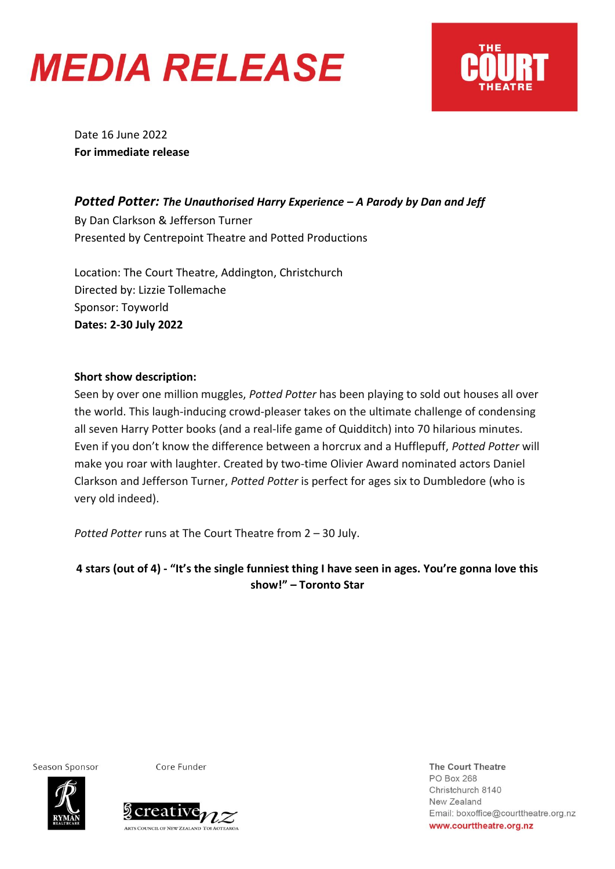



Date 16 June 2022 **For immediate release** 

## *Potted Potter: The Unauthorised Harry Experience – A Parody by Dan and Jeff*

By Dan Clarkson & Jefferson Turner Presented by Centrepoint Theatre and Potted Productions

Location: The Court Theatre, Addington, Christchurch Directed by: Lizzie Tollemache Sponsor: Toyworld **Dates: 2-30 July 2022**

## **Short show description:**

Seen by over one million muggles, *Potted Potter* has been playing to sold out houses all over the world. This laugh-inducing crowd-pleaser takes on the ultimate challenge of condensing all seven Harry Potter books (and a real-life game of Quidditch) into 70 hilarious minutes. Even if you don't know the difference between a horcrux and a Hufflepuff, *Potted Potter* will make you roar with laughter. Created by two-time Olivier Award nominated actors Daniel Clarkson and Jefferson Turner, *Potted Potter* is perfect for ages six to Dumbledore (who is very old indeed).

*Potted Potter* runs at The Court Theatre from 2 – 30 July.

**4 stars (out of 4) - "It's the single funniest thing I have seen in ages. You're gonna love this show!" – Toronto Star**

Season Sponsor

Core Funder



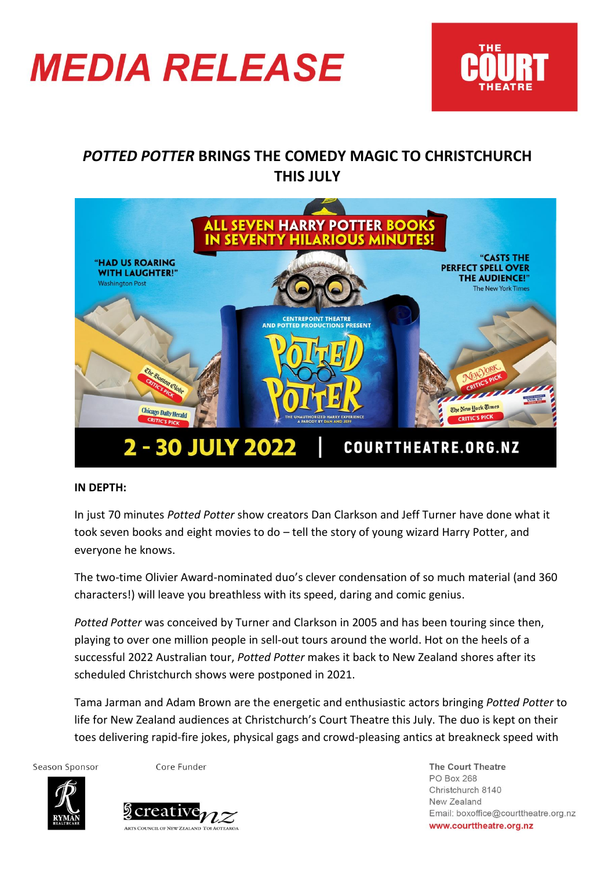



## *POTTED POTTER* **BRINGS THE COMEDY MAGIC TO CHRISTCHURCH THIS JULY**



## **IN DEPTH:**

In just 70 minutes *Potted Potter* show creators Dan Clarkson and Jeff Turner have done what it took seven books and eight movies to do – tell the story of young wizard Harry Potter, and everyone he knows.

The two-time Olivier Award-nominated duo's clever condensation of so much material (and 360 characters!) will leave you breathless with its speed, daring and comic genius.

*Potted Potter* was conceived by Turner and Clarkson in 2005 and has been touring since then, playing to over one million people in sell-out tours around the world. Hot on the heels of a successful 2022 Australian tour, *Potted Potter* makes it back to New Zealand shores after its scheduled Christchurch shows were postponed in 2021.

Tama Jarman and Adam Brown are the energetic and enthusiastic actors bringing *Potted Potter* to life for New Zealand audiences at Christchurch's Court Theatre this July. The duo is kept on their toes delivering rapid-fire jokes, physical gags and crowd-pleasing antics at breakneck speed with

Season Sponsor

Core Funder



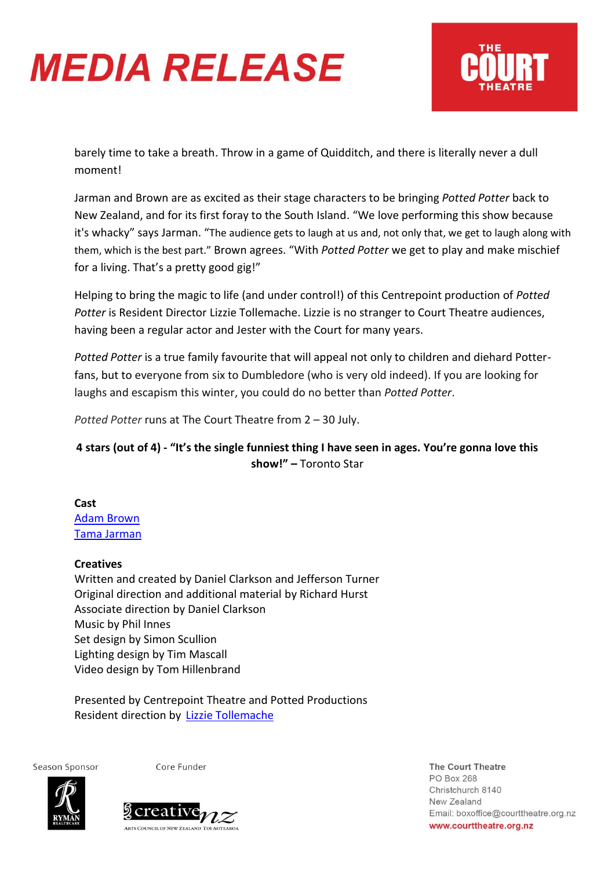# **MEDIA RELEASE**



barely time to take a breath. Throw in a game of Quidditch, and there is literally never a dull moment!

Jarman and Brown are as excited as their stage characters to be bringing *Potted Potter* back to New Zealand, and for its first foray to the South Island. "We love performing this show because it's whacky" says Jarman. "The audience gets to laugh at us and, not only that, we get to laugh along with them, which is the best part." Brown agrees. "With *Potted Potter* we get to play and make mischief for a living. That's a pretty good gig!"

Helping to bring the magic to life (and under control!) of this Centrepoint production of *Potted Potter* is Resident Director Lizzie Tollemache. Lizzie is no stranger to Court Theatre audiences, having been a regular actor and Jester with the Court for many years.

*Potted Potter* is a true family favourite that will appeal not only to children and diehard Potterfans, but to everyone from six to Dumbledore (who is very old indeed). If you are looking for laughs and escapism this winter, you could do no better than *Potted Potter*.

*Potted Potter* runs at The Court Theatre from 2 – 30 July.

## **4 stars (out of 4) - "It's the single funniest thing I have seen in ages. You're gonna love this show!" –** Toronto Star

**Cast** [Adam Brown](https://courttheatre.org.nz/ourpeople/adam-brown) [Tama Jarman](https://courttheatre.org.nz/ourpeople/tama-jarman) 

## **Creatives**

Written and created by Daniel Clarkson and Jefferson Turner Original direction and additional material by Richard Hurst Associate direction by Daniel Clarkson Music by Phil Innes Set design by Simon Scullion Lighting design by Tim Mascall Video design by Tom Hillenbrand

Presented by Centrepoint Theatre and Potted Productions Resident direction by [Lizzie Tollemache](https://courttheatre.org.nz/ourpeople/lizzie-tollemache-2)

Season Sponsor

Core Funder